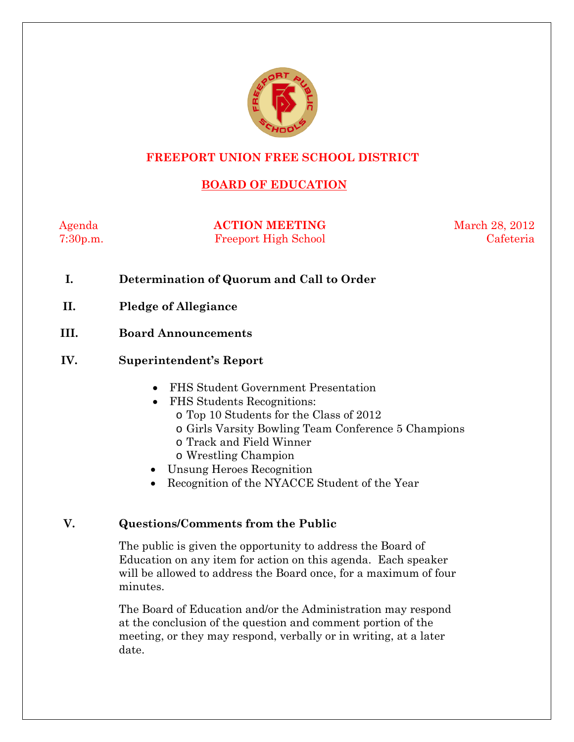

### **FREEPORT UNION FREE SCHOOL DISTRICT**

# **BOARD OF EDUCATION**

Agenda **ACTION MEETING** March 28, 2012 7:30p.m. Freeport High School Cafeteria

- **I. Determination of Quorum and Call to Order**
- **II. Pledge of Allegiance**
- **III. Board Announcements**

#### **IV. Superintendent's Report**

- FHS Student Government Presentation
- FHS Students Recognitions:
	- o Top 10 Students for the Class of 2012
	- o Girls Varsity Bowling Team Conference 5 Champions
	- o Track and Field Winner
	- o Wrestling Champion
- Unsung Heroes Recognition
- Recognition of the NYACCE Student of the Year

### **V. Questions/Comments from the Public**

The public is given the opportunity to address the Board of Education on any item for action on this agenda. Each speaker will be allowed to address the Board once, for a maximum of four minutes.

The Board of Education and/or the Administration may respond at the conclusion of the question and comment portion of the meeting, or they may respond, verbally or in writing, at a later date.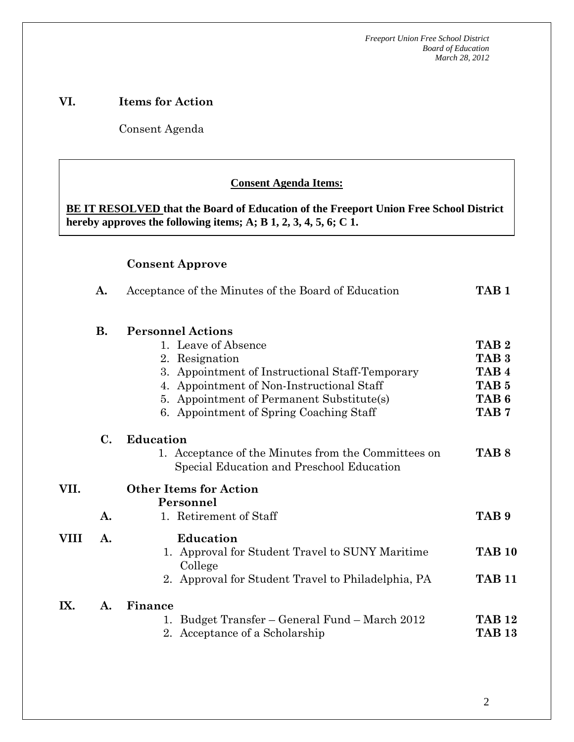### **VI. Items for Action**

Consent Agenda

 **AA. Consent - Approve** 

#### **Consent Agenda Items:**

 *Acceptance of the Minutes*  $\mathbf{A}$ **BE IT RESOLVED that the Board of Education of the Freeport Union Free School District hereby approves the following items; A; B 1, 2, 3, 4, 5, 6; C 1.** 

#### **Consent Approve**

|      | A.        | Acceptance of the Minutes of the Board of Education                                              | TAB <sub>1</sub> |  |
|------|-----------|--------------------------------------------------------------------------------------------------|------------------|--|
|      | <b>B.</b> | <b>Personnel Actions</b>                                                                         |                  |  |
|      |           | 1. Leave of Absence                                                                              | TAB <sub>2</sub> |  |
|      |           | 2. Resignation                                                                                   | TAB <sub>3</sub> |  |
|      |           | 3. Appointment of Instructional Staff-Temporary                                                  | TAB <sub>4</sub> |  |
|      |           | 4. Appointment of Non-Instructional Staff                                                        | TAB <sub>5</sub> |  |
|      |           | 5. Appointment of Permanent Substitute(s)                                                        | TAB <sub>6</sub> |  |
|      |           | 6. Appointment of Spring Coaching Staff                                                          | TAB <sub>7</sub> |  |
|      | С.        | <b>Education</b>                                                                                 |                  |  |
|      |           | 1. Acceptance of the Minutes from the Committees on<br>Special Education and Preschool Education | TAB <sub>8</sub> |  |
| VII. |           | <b>Other Items for Action</b><br>Personnel                                                       |                  |  |
|      | A.        | 1. Retirement of Staff                                                                           | TAB <sub>9</sub> |  |
| VIII | A.        | <b>Education</b>                                                                                 |                  |  |
|      |           | 1. Approval for Student Travel to SUNY Maritime<br>College                                       | <b>TAB 10</b>    |  |
|      |           | 2. Approval for Student Travel to Philadelphia, PA                                               | <b>TAB 11</b>    |  |
| IX.  | A.        | Finance                                                                                          |                  |  |
|      |           | Budget Transfer – General Fund – March 2012<br>1.                                                | <b>TAB 12</b>    |  |
|      |           | 2. Acceptance of a Scholarship                                                                   | <b>TAB 13</b>    |  |
|      |           |                                                                                                  |                  |  |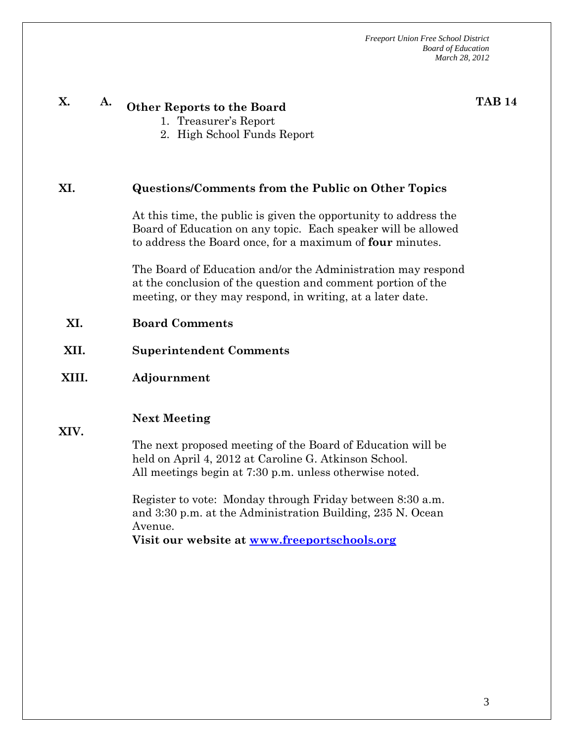| X.                                     | A. | <b>Other Reports to the Board</b><br>1. Treasurer's Report<br>2. High School Funds Report                                                                                                                                                                                                                                                                                                    | <b>TAB 14</b> |  |  |  |
|----------------------------------------|----|----------------------------------------------------------------------------------------------------------------------------------------------------------------------------------------------------------------------------------------------------------------------------------------------------------------------------------------------------------------------------------------------|---------------|--|--|--|
| XI.                                    |    | <b>Questions/Comments from the Public on Other Topics</b>                                                                                                                                                                                                                                                                                                                                    |               |  |  |  |
|                                        |    | At this time, the public is given the opportunity to address the<br>Board of Education on any topic. Each speaker will be allowed<br>to address the Board once, for a maximum of four minutes.                                                                                                                                                                                               |               |  |  |  |
|                                        |    | The Board of Education and/or the Administration may respond<br>at the conclusion of the question and comment portion of the<br>meeting, or they may respond, in writing, at a later date.                                                                                                                                                                                                   |               |  |  |  |
| XI.                                    |    | <b>Board Comments</b>                                                                                                                                                                                                                                                                                                                                                                        |               |  |  |  |
| XII.<br><b>Superintendent Comments</b> |    |                                                                                                                                                                                                                                                                                                                                                                                              |               |  |  |  |
| XIII.                                  |    | Adjournment                                                                                                                                                                                                                                                                                                                                                                                  |               |  |  |  |
| XIV.                                   |    | <b>Next Meeting</b><br>The next proposed meeting of the Board of Education will be<br>held on April 4, 2012 at Caroline G. Atkinson School.<br>All meetings begin at 7:30 p.m. unless otherwise noted.<br>Register to vote: Monday through Friday between 8:30 a.m.<br>and 3:30 p.m. at the Administration Building, 235 N. Ocean<br>Avenue.<br>Visit our website at www.freeportschools.org |               |  |  |  |
|                                        |    |                                                                                                                                                                                                                                                                                                                                                                                              |               |  |  |  |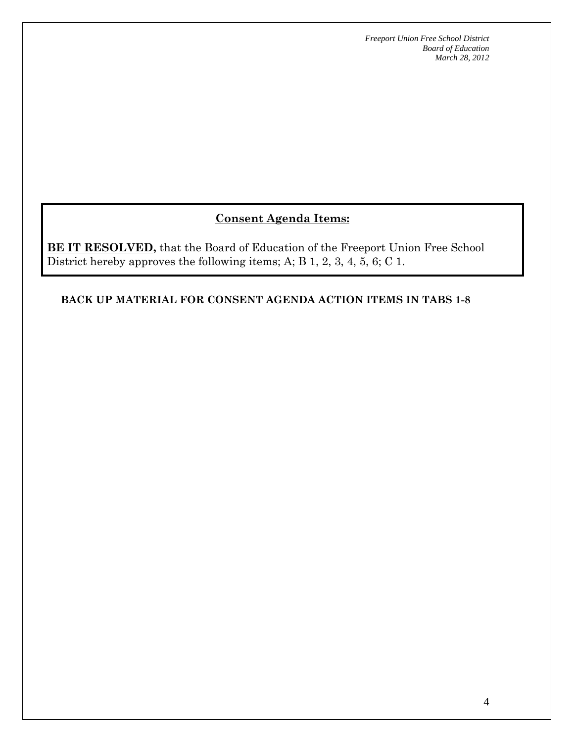# **Consent Agenda Items:**

**BE IT RESOLVED**, that the Board of Education of the Freeport Union Free School District hereby approves the following items; A; B 1, 2, 3, 4, 5, 6; C 1.

#### **BACK UP MATERIAL FOR CONSENT AGENDA ACTION ITEMS IN TABS 1-8**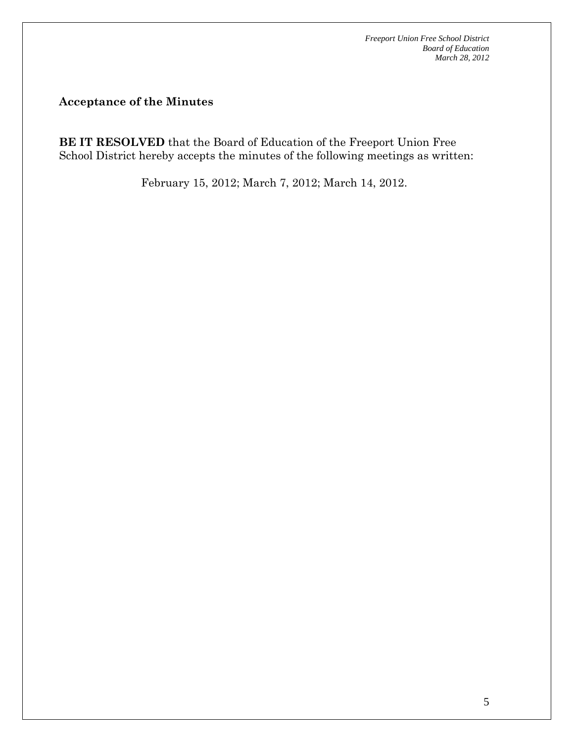**Acceptance of the Minutes** 

**BE IT RESOLVED** that the Board of Education of the Freeport Union Free School District hereby accepts the minutes of the following meetings as written:

February 15, 2012; March 7, 2012; March 14, 2012.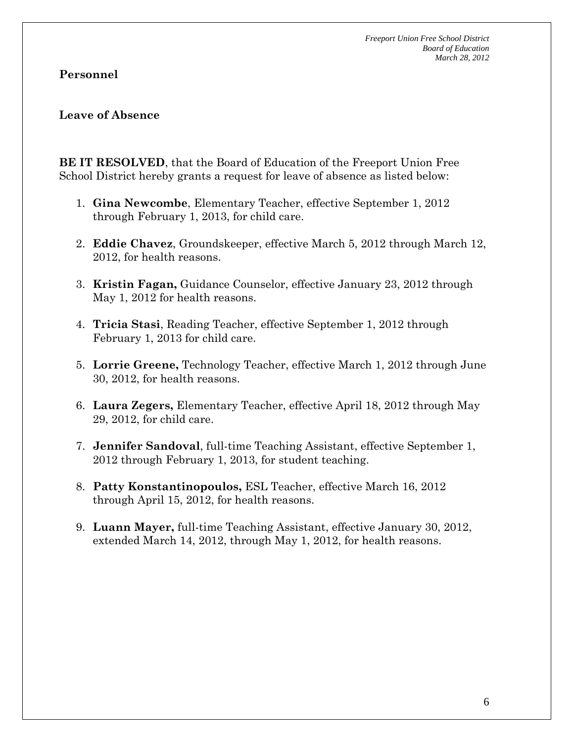### **Personnel**

### **Leave of Absence**

**BE IT RESOLVED**, that the Board of Education of the Freeport Union Free School District hereby grants a request for leave of absence as listed below:

- 1. **Gina Newcombe**, Elementary Teacher, effective September 1, 2012 through February 1, 2013, for child care.
- 2. **Eddie Chavez**, Groundskeeper, effective March 5, 2012 through March 12, 2012, for health reasons.
- 3. **Kristin Fagan,** Guidance Counselor, effective January 23, 2012 through May 1, 2012 for health reasons.
- 4. **Tricia Stasi**, Reading Teacher, effective September 1, 2012 through February 1, 2013 for child care.
- 5. **Lorrie Greene,** Technology Teacher, effective March 1, 2012 through June 30, 2012, for health reasons.
- 6. **Laura Zegers,** Elementary Teacher, effective April 18, 2012 through May 29, 2012, for child care.
- 7. **Jennifer Sandoval**, full-time Teaching Assistant, effective September 1, 2012 through February 1, 2013, for student teaching.
- 8. **Patty Konstantinopoulos,** ESL Teacher, effective March 16, 2012 through April 15, 2012, for health reasons.
- 9. **Luann Mayer,** full-time Teaching Assistant, effective January 30, 2012, extended March 14, 2012, through May 1, 2012, for health reasons.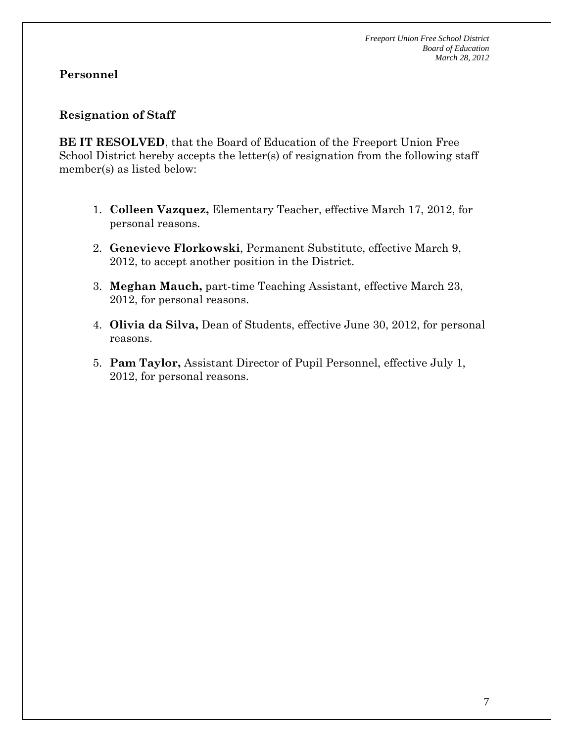### **Resignation of Staff**

**BE IT RESOLVED**, that the Board of Education of the Freeport Union Free School District hereby accepts the letter(s) of resignation from the following staff member(s) as listed below:

- 1. **Colleen Vazquez,** Elementary Teacher, effective March 17, 2012, for personal reasons.
- 2. **Genevieve Florkowski**, Permanent Substitute, effective March 9, 2012, to accept another position in the District.
- 3. **Meghan Mauch,** part-time Teaching Assistant, effective March 23, 2012, for personal reasons.
- 4. **Olivia da Silva,** Dean of Students, effective June 30, 2012, for personal reasons.
- 5. **Pam Taylor,** Assistant Director of Pupil Personnel, effective July 1, 2012, for personal reasons.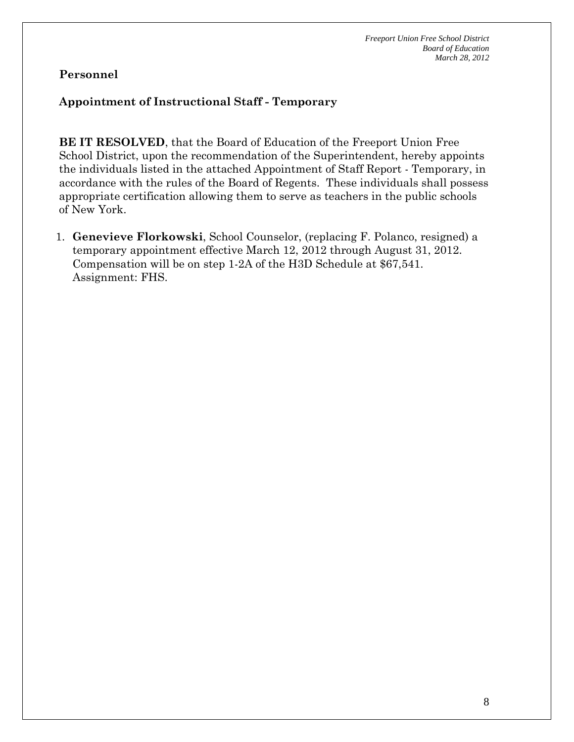### **Appointment of Instructional Staff - Temporary**

**BE IT RESOLVED**, that the Board of Education of the Freeport Union Free School District, upon the recommendation of the Superintendent, hereby appoints the individuals listed in the attached Appointment of Staff Report - Temporary, in accordance with the rules of the Board of Regents. These individuals shall possess appropriate certification allowing them to serve as teachers in the public schools of New York.

1. **Genevieve Florkowski**, School Counselor, (replacing F. Polanco, resigned) a temporary appointment effective March 12, 2012 through August 31, 2012. Compensation will be on step 1-2A of the H3D Schedule at \$67,541. Assignment: FHS.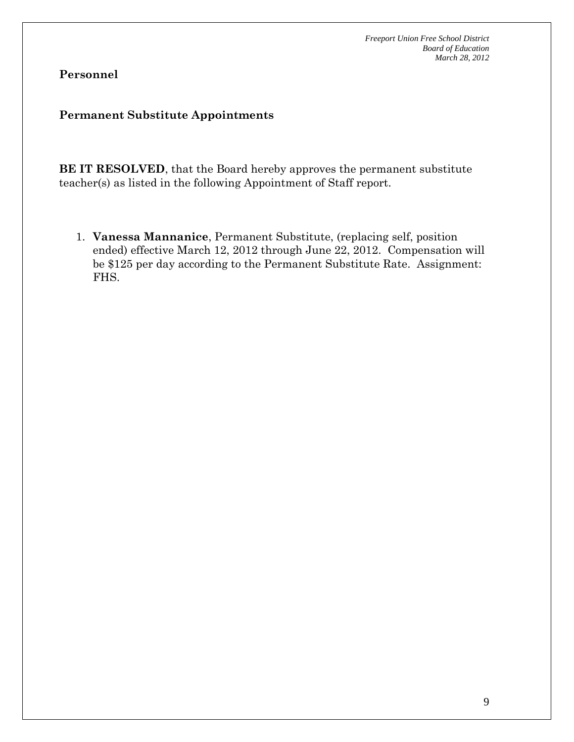# **Personnel**

#### **Permanent Substitute Appointments**

**BE IT RESOLVED**, that the Board hereby approves the permanent substitute teacher(s) as listed in the following Appointment of Staff report.

1. **Vanessa Mannanice**, Permanent Substitute, (replacing self, position ended) effective March 12, 2012 through June 22, 2012. Compensation will be \$125 per day according to the Permanent Substitute Rate. Assignment: FHS.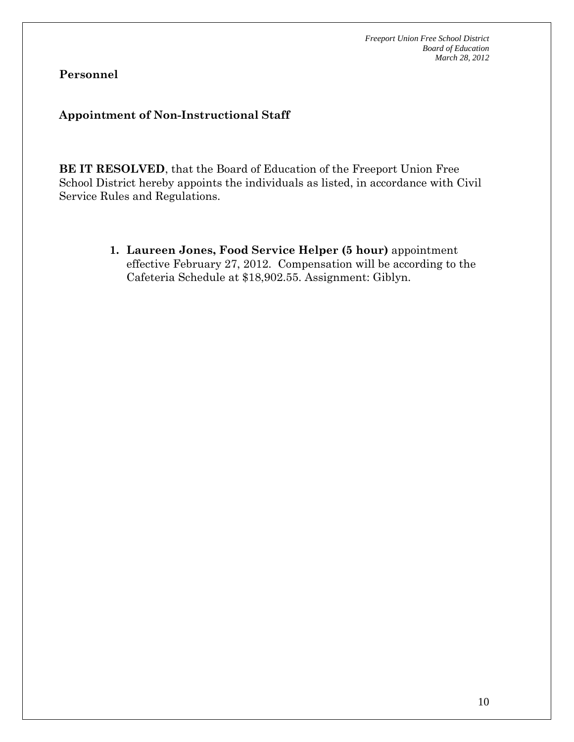**Personnel** 

# **Appointment of Non-Instructional Staff**

**BE IT RESOLVED**, that the Board of Education of the Freeport Union Free School District hereby appoints the individuals as listed, in accordance with Civil Service Rules and Regulations.

> **1. Laureen Jones, Food Service Helper (5 hour)** appointment effective February 27, 2012. Compensation will be according to the Cafeteria Schedule at \$18,902.55. Assignment: Giblyn.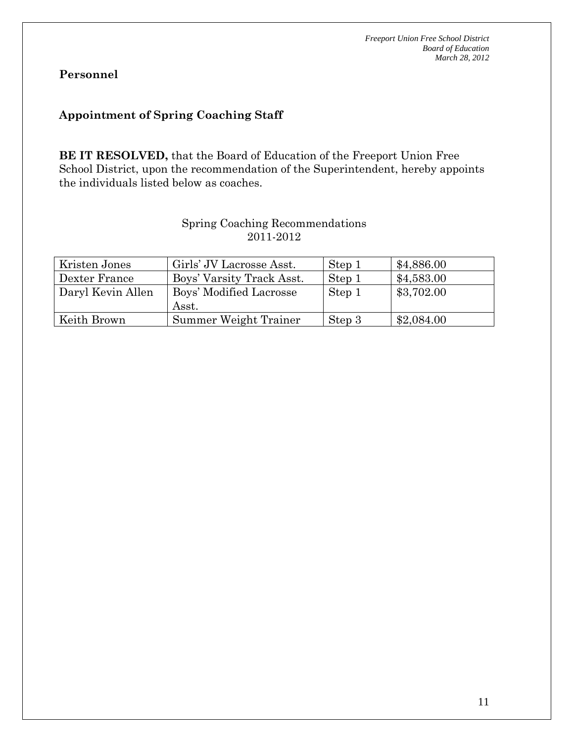# **Appointment of Spring Coaching Staff**

**BE IT RESOLVED,** that the Board of Education of the Freeport Union Free School District, upon the recommendation of the Superintendent, hereby appoints the individuals listed below as coaches.

## Spring Coaching Recommendations 2011-2012

| Kristen Jones     | Girls' JV Lacrosse Asst.         | Step 1 | \$4,886.00 |
|-------------------|----------------------------------|--------|------------|
| Dexter France     | Boys' Varsity Track Asst.        | Step 1 | \$4,583.00 |
| Daryl Kevin Allen | Boys' Modified Lacrosse<br>Asst. | Step 1 | \$3,702.00 |
| Keith Brown       | Summer Weight Trainer            | Step 3 | \$2,084.00 |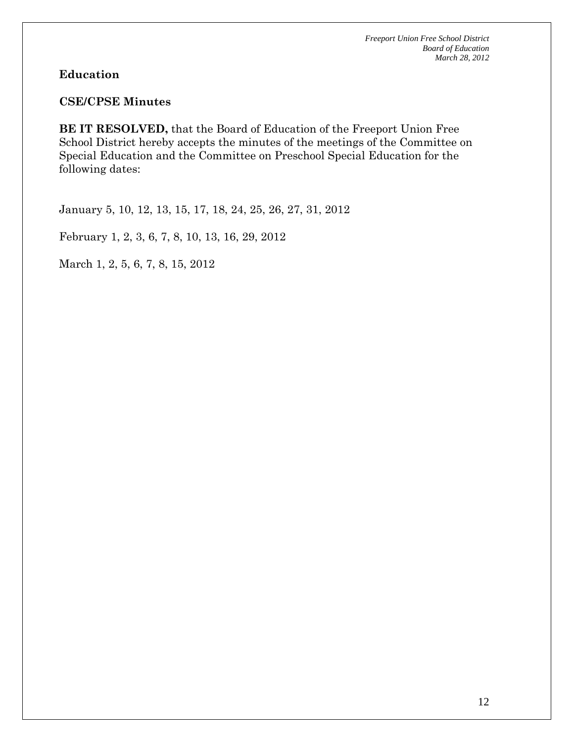#### **Education**

#### **CSE/CPSE Minutes**

**BE IT RESOLVED,** that the Board of Education of the Freeport Union Free School District hereby accepts the minutes of the meetings of the Committee on Special Education and the Committee on Preschool Special Education for the following dates:

January 5, 10, 12, 13, 15, 17, 18, 24, 25, 26, 27, 31, 2012

February 1, 2, 3, 6, 7, 8, 10, 13, 16, 29, 2012

March 1, 2, 5, 6, 7, 8, 15, 2012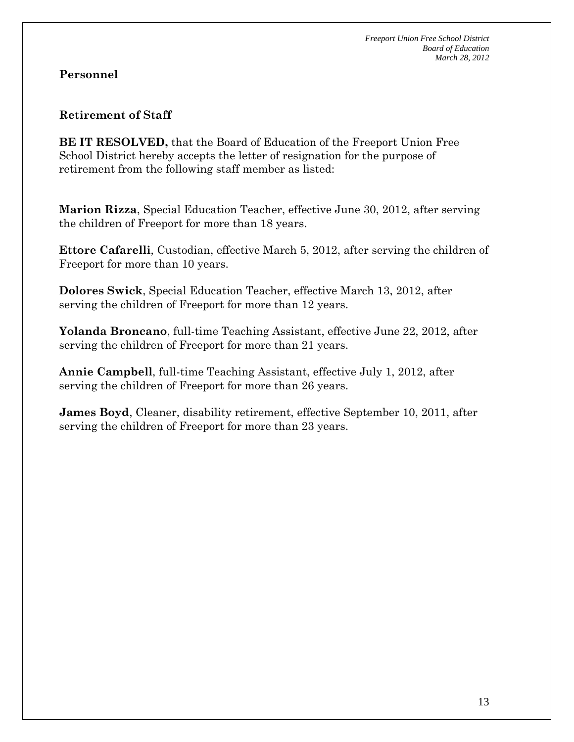#### **Retirement of Staff**

**BE IT RESOLVED,** that the Board of Education of the Freeport Union Free School District hereby accepts the letter of resignation for the purpose of retirement from the following staff member as listed:

**Marion Rizza**, Special Education Teacher, effective June 30, 2012, after serving the children of Freeport for more than 18 years.

**Ettore Cafarelli**, Custodian, effective March 5, 2012, after serving the children of Freeport for more than 10 years.

**Dolores Swick**, Special Education Teacher, effective March 13, 2012, after serving the children of Freeport for more than 12 years.

**Yolanda Broncano**, full-time Teaching Assistant, effective June 22, 2012, after serving the children of Freeport for more than 21 years.

**Annie Campbell**, full-time Teaching Assistant, effective July 1, 2012, after serving the children of Freeport for more than 26 years.

**James Boyd**, Cleaner, disability retirement, effective September 10, 2011, after serving the children of Freeport for more than 23 years.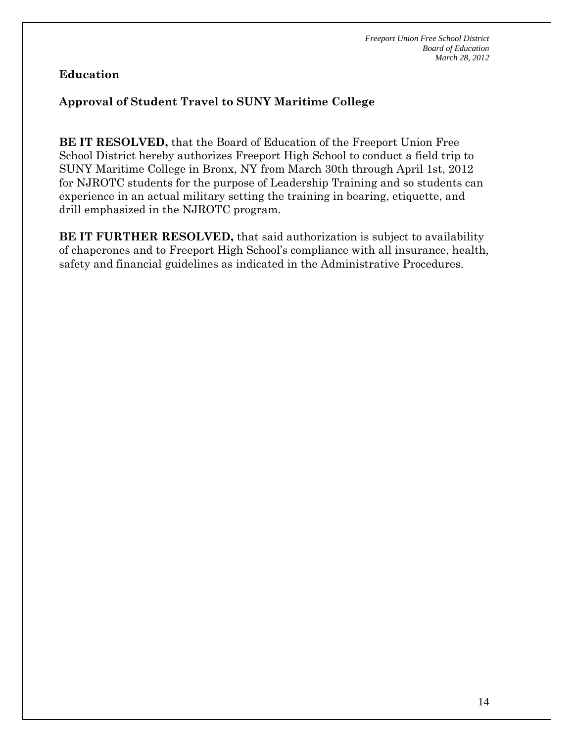# **Education**

# **Approval of Student Travel to SUNY Maritime College**

**BE IT RESOLVED,** that the Board of Education of the Freeport Union Free School District hereby authorizes Freeport High School to conduct a field trip to SUNY Maritime College in Bronx, NY from March 30th through April 1st, 2012 for NJROTC students for the purpose of Leadership Training and so students can experience in an actual military setting the training in bearing, etiquette, and drill emphasized in the NJROTC program.

**BE IT FURTHER RESOLVED, that said authorization is subject to availability** of chaperones and to Freeport High School's compliance with all insurance, health, safety and financial guidelines as indicated in the Administrative Procedures.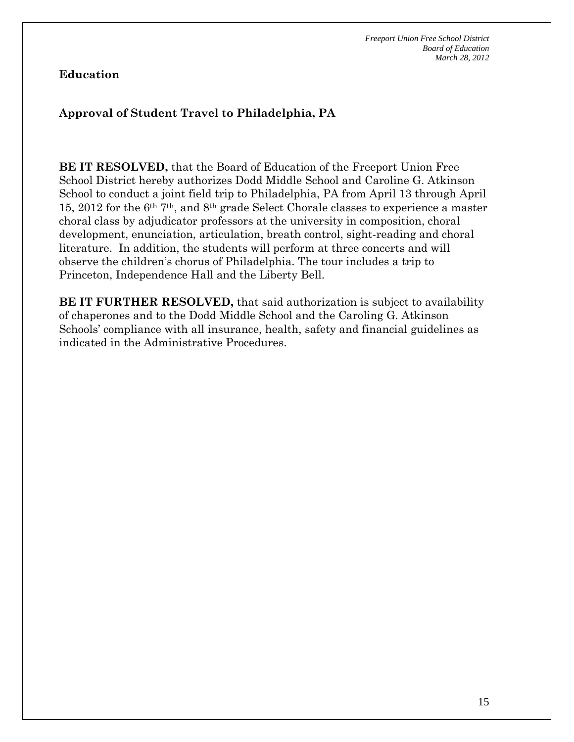# **Education**

# **Approval of Student Travel to Philadelphia, PA**

**BE IT RESOLVED,** that the Board of Education of the Freeport Union Free School District hereby authorizes Dodd Middle School and Caroline G. Atkinson School to conduct a joint field trip to Philadelphia, PA from April 13 through April 15, 2012 for the 6th 7th, and 8th grade Select Chorale classes to experience a master choral class by adjudicator professors at the university in composition, choral development, enunciation, articulation, breath control, sight-reading and choral literature. In addition, the students will perform at three concerts and will observe the children's chorus of Philadelphia. The tour includes a trip to Princeton, Independence Hall and the Liberty Bell.

**BE IT FURTHER RESOLVED, that said authorization is subject to availability** of chaperones and to the Dodd Middle School and the Caroling G. Atkinson Schools' compliance with all insurance, health, safety and financial guidelines as indicated in the Administrative Procedures.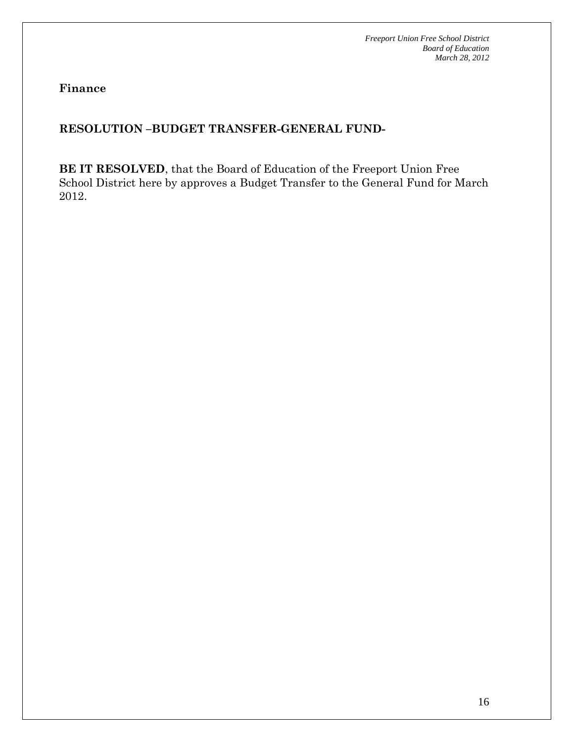**Finance** 

# **RESOLUTION –BUDGET TRANSFER-GENERAL FUND-**

**BE IT RESOLVED**, that the Board of Education of the Freeport Union Free School District here by approves a Budget Transfer to the General Fund for March 2012.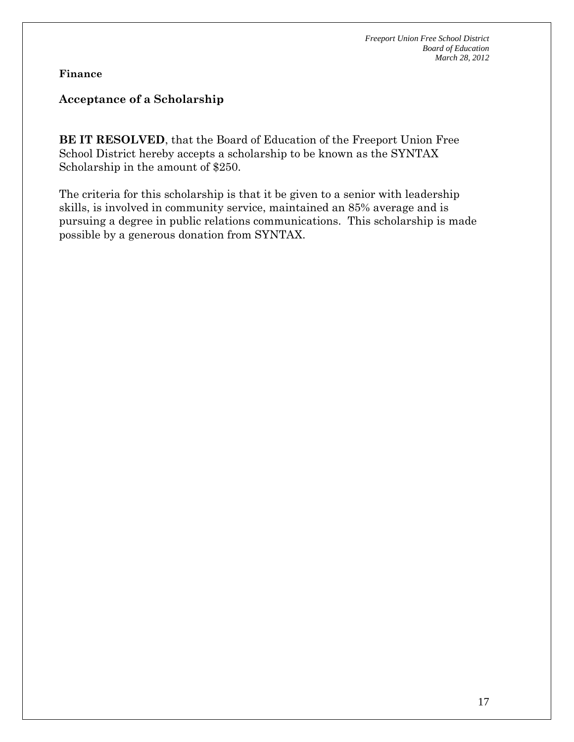**Finance** 

### **Acceptance of a Scholarship**

**BE IT RESOLVED**, that the Board of Education of the Freeport Union Free School District hereby accepts a scholarship to be known as the SYNTAX Scholarship in the amount of \$250.

The criteria for this scholarship is that it be given to a senior with leadership skills, is involved in community service, maintained an 85% average and is pursuing a degree in public relations communications. This scholarship is made possible by a generous donation from SYNTAX.